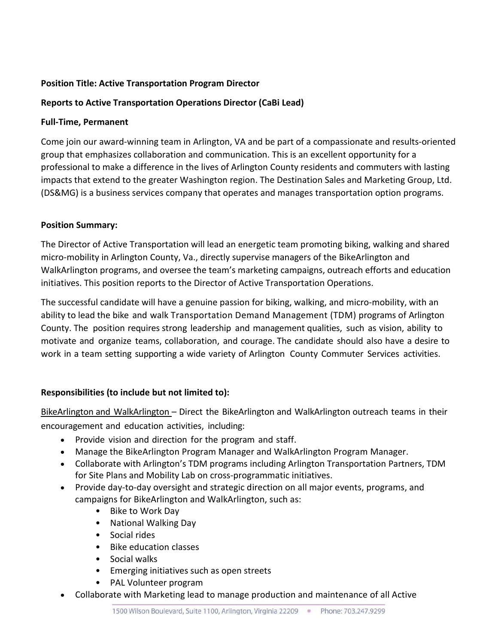# **Position Title: Active Transportation Program Director**

# **Reports to Active Transportation Operations Director (CaBi Lead)**

## **Full-Time, Permanent**

Come join our award-winning team in Arlington, VA and be part of a compassionate and results-oriented group that emphasizes collaboration and communication. This is an excellent opportunity for a professional to make a difference in the lives of Arlington County residents and commuters with lasting impacts that extend to the greater Washington region. The Destination Sales and Marketing Group, Ltd. (DS&MG) is a business services company that operates and manages transportation option programs.

# **Position Summary:**

The Director of Active Transportation will lead an energetic team promoting biking, walking and shared micro-mobility in Arlington County, Va., directly supervise managers of the BikeArlington and WalkArlington programs, and oversee the team's marketing campaigns, outreach efforts and education initiatives. This position reports to the Director of Active Transportation Operations.

The successful candidate will have a genuine passion for biking, walking, and micro-mobility, with an ability to lead the bike and walk Transportation Demand Management (TDM) programs of Arlington County. The position requires strong leadership and management qualities, such as vision, ability to motivate and organize teams, collaboration, and courage. The candidate should also have a desire to work in a team setting supporting a wide variety of Arlington County Commuter Services activities.

# **Responsibilities (to include but not limited to):**

BikeArlington and WalkArlington – Direct the BikeArlington and WalkArlington outreach teams in their encouragement and education activities, including:

- Provide vision and direction for the program and staff.
- Manage the BikeArlington Program Manager and WalkArlington Program Manager.
- Collaborate with Arlington's TDM programs including Arlington Transportation Partners, TDM for Site Plans and Mobility Lab on cross-programmatic initiatives.
- Provide day-to-day oversight and strategic direction on all major events, programs, and campaigns for BikeArlington and WalkArlington, such as:
	- Bike to Work Day
	- National Walking Day
	- Social rides
	- Bike education classes
	- Social walks
	- Emerging initiatives such as open streets
	- PAL Volunteer program
- Collaborate with Marketing lead to manage production and maintenance of all Active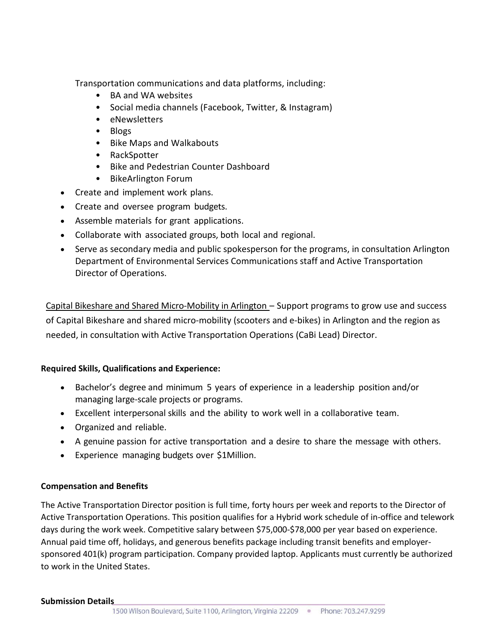Transportation communications and data platforms, including:

- BA and WA websites
- Social media channels (Facebook, Twitter, & Instagram)
- eNewsletters
- Blogs
- Bike Maps and Walkabouts
- RackSpotter
- Bike and Pedestrian Counter Dashboard
- BikeArlington Forum
- Create and implement work plans.
- Create and oversee program budgets.
- Assemble materials for grant applications.
- Collaborate with associated groups, both local and regional.
- Serve as secondary media and public spokesperson for the programs, in consultation Arlington Department of Environmental Services Communications staff and Active Transportation Director of Operations.

Capital Bikeshare and Shared Micro-Mobility in Arlington – Support programs to grow use and success of Capital Bikeshare and shared micro-mobility (scooters and e-bikes) in Arlington and the region as needed, in consultation with Active Transportation Operations (CaBi Lead) Director.

# **Required Skills, Qualifications and Experience:**

- Bachelor's degree and minimum 5 years of experience in a leadership position and/or managing large-scale projects or programs.
- Excellent interpersonal skills and the ability to work well in a collaborative team.
- Organized and reliable.
- A genuine passion for active transportation and a desire to share the message with others.
- Experience managing budgets over \$1Million.

## **Compensation and Benefits**

The Active Transportation Director position is full time, forty hours per week and reports to the Director of Active Transportation Operations. This position qualifies for a Hybrid work schedule of in-office and telework days during the work week. Competitive salary between \$75,000-\$78,000 per year based on experience. Annual paid time off, holidays, and generous benefits package including transit benefits and employersponsored 401(k) program participation. Company provided laptop. Applicants must currently be authorized to work in the United States.